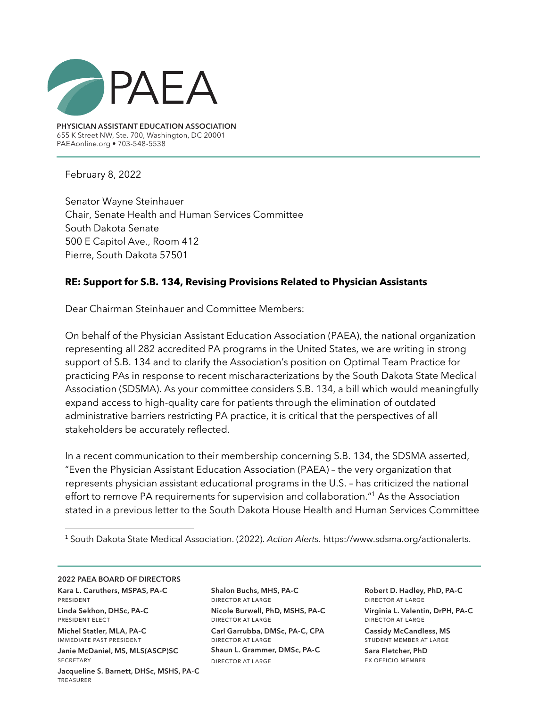

**PHYSICIAN ASSISTANT EDUCATION ASSOCIATION** 655 K Street NW, Ste. 700, Washington, DC 20001 PAEAonline.org • 703-548-5538

February 8, 2022

Senator Wayne Steinhauer Chair, Senate Health and Human Services Committee South Dakota Senate 500 E Capitol Ave., Room 412 Pierre, South Dakota 57501

## **RE: Support for S.B. 134, Revising Provisions Related to Physician Assistants**

Dear Chairman Steinhauer and Committee Members:

On behalf of the Physician Assistant Education Association (PAEA), the national organization representing all 282 accredited PA programs in the United States, we are writing in strong support of S.B. 134 and to clarify the Association's position on Optimal Team Practice for practicing PAs in response to recent mischaracterizations by the South Dakota State Medical Association (SDSMA). As your committee considers S.B. 134, a bill which would meaningfully expand access to high-quality care for patients through the elimination of outdated administrative barriers restricting PA practice, it is critical that the perspectives of all stakeholders be accurately reflected.

In a recent communication to their membership concerning S.B. 134, the SDSMA asserted, "Even the Physician Assistant Education Association (PAEA) – the very organization that represents physician assistant educational programs in the U.S. – has criticized the national effort to remove PA requirements for supervision and collaboration."<sup>1</sup> As the Association stated in a previous letter to the South Dakota House Health and Human Services Committee

<sup>1</sup> South Dakota State Medical Association. (2022). *Action Alerts.* https://www.sdsma.org/actionalerts.

**2022 PAEA BOARD OF DIRECTORS**

**Kara L. Caruthers, MSPAS, PA-C**  president **Linda Sekhon, DHSc, PA-C**  president elect

**Michel Statler, MLA, PA-C**  immediate past president **Janie McDaniel, MS, MLS(ASCP)SC SECRETARY Jacqueline S. Barnett, DHSc, MSHS, PA-C** treasurer

**Shalon Buchs, MHS, PA-C** director at large **Nicole Burwell, PhD, MSHS, PA-C** director at large **Carl Garrubba, DMSc, PA-C, CPA** director at large **Shaun L. Grammer, DMSc, PA-C** director at large

**Robert D. Hadley, PhD, PA-C** director at large **Virginia L. Valentin, DrPH, PA-C** director at large

**Cassidy McCandless, MS**  student member at large

**Sara Fletcher, PhD** ex officio member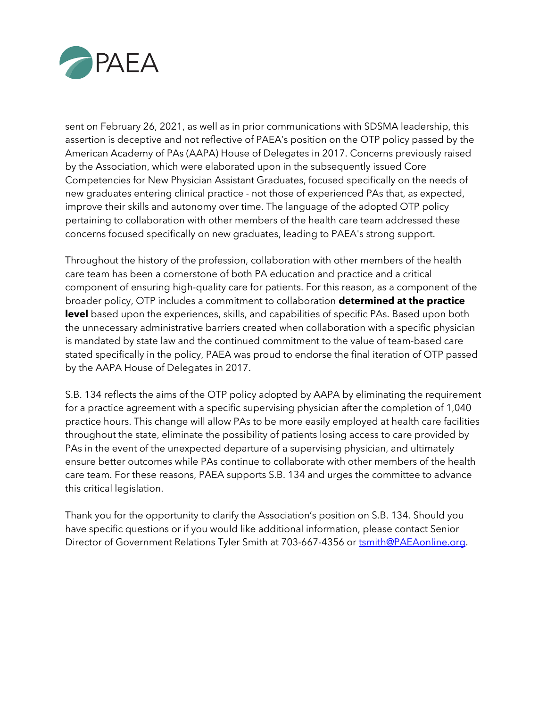

sent on February 26, 2021, as well as in prior communications with SDSMA leadership, this assertion is deceptive and not reflective of PAEA's position on the OTP policy passed by the American Academy of PAs (AAPA) House of Delegates in 2017. Concerns previously raised by the Association, which were elaborated upon in the subsequently issued Core Competencies for New Physician Assistant Graduates, focused specifically on the needs of new graduates entering clinical practice - not those of experienced PAs that, as expected, improve their skills and autonomy over time. The language of the adopted OTP policy pertaining to collaboration with other members of the health care team addressed these concerns focused specifically on new graduates, leading to PAEA's strong support.

Throughout the history of the profession, collaboration with other members of the health care team has been a cornerstone of both PA education and practice and a critical component of ensuring high-quality care for patients. For this reason, as a component of the broader policy, OTP includes a commitment to collaboration **determined at the practice**  level based upon the experiences, skills, and capabilities of specific PAs. Based upon both the unnecessary administrative barriers created when collaboration with a specific physician is mandated by state law and the continued commitment to the value of team-based care stated specifically in the policy, PAEA was proud to endorse the final iteration of OTP passed by the AAPA House of Delegates in 2017.

S.B. 134 reflects the aims of the OTP policy adopted by AAPA by eliminating the requirement for a practice agreement with a specific supervising physician after the completion of 1,040 practice hours. This change will allow PAs to be more easily employed at health care facilities throughout the state, eliminate the possibility of patients losing access to care provided by PAs in the event of the unexpected departure of a supervising physician, and ultimately ensure better outcomes while PAs continue to collaborate with other members of the health care team. For these reasons, PAEA supports S.B. 134 and urges the committee to advance this critical legislation.

Thank you for the opportunity to clarify the Association's position on S.B. 134. Should you have specific questions or if you would like additional information, please contact Senior Director of Government Relations Tyler Smith at 703-667-4356 or tsmith@PAEAonline.org.